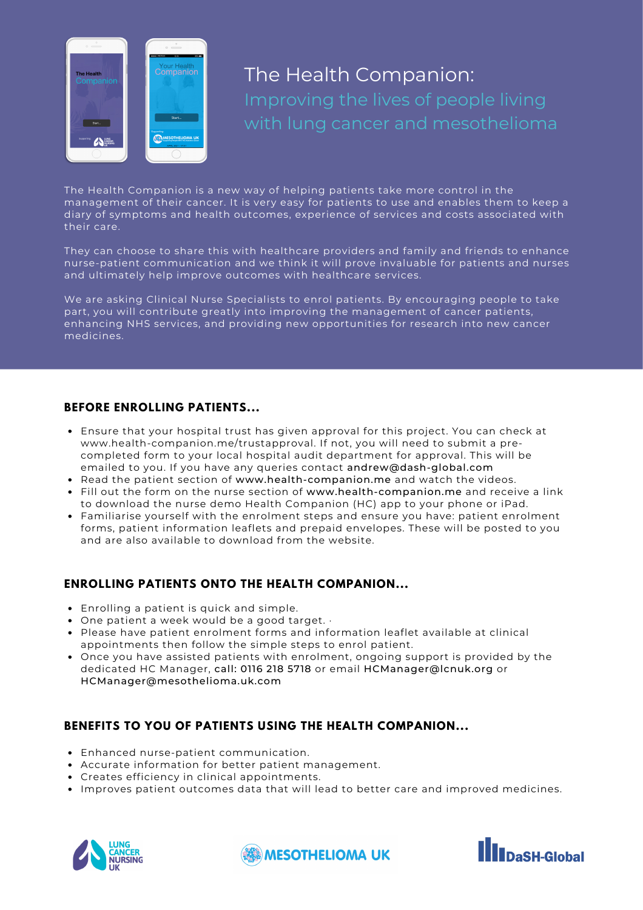

# The Health Companion: with lung cancer and mesothelioma

The Health Companion is a new way of helping patients take more control in the management of their cancer. It is very easy for patients to use and enables them to keep a diary of symptoms and health outcomes, experience of services and costs associated with their care.

They can choose to share this with healthcare providers and family and friends to enhance nurse-patient communication and we think it will prove invaluable for patients and nurses and ultimately help improve outcomes with healthcare services.

We are asking Clinical Nurse Specialists to enrol patients. By encouraging people to take part, you will contribute greatly into improving the management of cancer patients, enhancing NHS services, and providing new opportunities for research into new cancer medicines.

#### **BEFORE ENROLLING PATIENTS...**

- Ensure that your hospital trust has given approval for this project. You can check at www.health-companion.me/trustapproval. If not, you will need to submit a precompleted form to your local hospital audit department for approval. This will be emailed to you. If you have any queries contact andrew@dash-global.com
- Read the patient section of www.health-companion.me and watch the videos.
- Fill out the form on the nurse section of www.health-companion.me and receive a link to download the nurse demo Health Companion (HC) app to your phone or iPad.
- Familiarise yourself with the enrolment steps and ensure you have: patient enrolment forms, patient information leaflets and prepaid envelopes. These will be posted to you and are also available to download from the website.

### **ENROLLING PATIENTS ONTO THE HEALTH COMPANION...**

- Enrolling a patient is quick and simple.
- One patient a week would be a good target. ·
- Please have patient enrolment forms and information leaflet available at clinical appointments then follow the simple steps to enrol patient.
- Once you have assisted patients with enrolment, ongoing support is provided by the dedicated HC Manager, call: 0116 218 5718 or email HCManager@lcnuk.org or HCManager@mesothelioma.uk.com

### **BENEFITS TO YOU OF PATIENTS USING THE HEALTH COMPANION...**

- Enhanced nurse-patient communication.
- Accurate information for better patient management.
- Creates efficiency in clinical appointments.
- Improves patient outcomes data that will lead to better care and improved medicines.